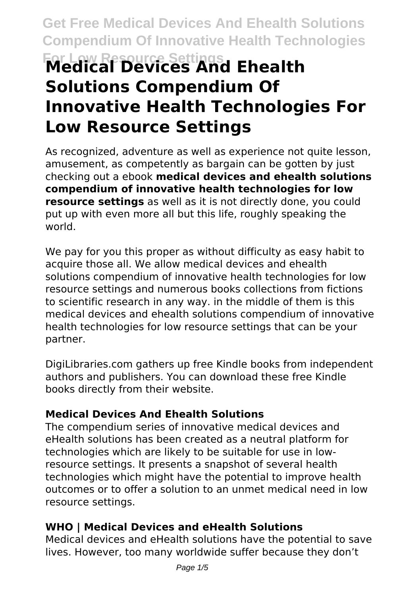# **Get Free Medical Devices And Ehealth Solutions Compendium Of Innovative Health Technologies For Low Resource Settings Medical Devices And Ehealth Solutions Compendium Of Innovative Health Technologies For Low Resource Settings**

As recognized, adventure as well as experience not quite lesson, amusement, as competently as bargain can be gotten by just checking out a ebook **medical devices and ehealth solutions compendium of innovative health technologies for low resource settings** as well as it is not directly done, you could put up with even more all but this life, roughly speaking the world.

We pay for you this proper as without difficulty as easy habit to acquire those all. We allow medical devices and ehealth solutions compendium of innovative health technologies for low resource settings and numerous books collections from fictions to scientific research in any way. in the middle of them is this medical devices and ehealth solutions compendium of innovative health technologies for low resource settings that can be your partner.

DigiLibraries.com gathers up free Kindle books from independent authors and publishers. You can download these free Kindle books directly from their website.

#### **Medical Devices And Ehealth Solutions**

The compendium series of innovative medical devices and eHealth solutions has been created as a neutral platform for technologies which are likely to be suitable for use in lowresource settings. It presents a snapshot of several health technologies which might have the potential to improve health outcomes or to offer a solution to an unmet medical need in low resource settings.

#### **WHO | Medical Devices and eHealth Solutions**

Medical devices and eHealth solutions have the potential to save lives. However, too many worldwide suffer because they don't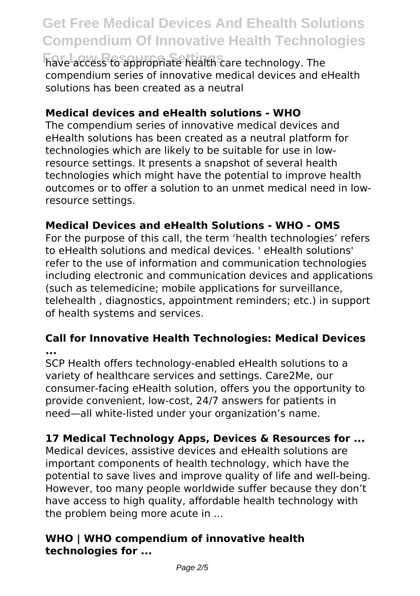**For Low Resource Settings** have access to appropriate health care technology. The compendium series of innovative medical devices and eHealth solutions has been created as a neutral

### **Medical devices and eHealth solutions - WHO**

The compendium series of innovative medical devices and eHealth solutions has been created as a neutral platform for technologies which are likely to be suitable for use in lowresource settings. It presents a snapshot of several health technologies which might have the potential to improve health outcomes or to offer a solution to an unmet medical need in lowresource settings.

### **Medical Devices and eHealth Solutions - WHO - OMS**

For the purpose of this call, the term 'health technologies' refers to eHealth solutions and medical devices. ' eHealth solutions' refer to the use of information and communication technologies including electronic and communication devices and applications (such as telemedicine; mobile applications for surveillance, telehealth , diagnostics, appointment reminders; etc.) in support of health systems and services.

#### **Call for Innovative Health Technologies: Medical Devices ...**

SCP Health offers technology-enabled eHealth solutions to a variety of healthcare services and settings. Care2Me, our consumer-facing eHealth solution, offers you the opportunity to provide convenient, low-cost, 24/7 answers for patients in need—all white-listed under your organization's name.

### **17 Medical Technology Apps, Devices & Resources for ...**

Medical devices, assistive devices and eHealth solutions are important components of health technology, which have the potential to save lives and improve quality of life and well-being. However, too many people worldwide suffer because they don't have access to high quality, affordable health technology with the problem being more acute in ...

#### **WHO | WHO compendium of innovative health technologies for ...**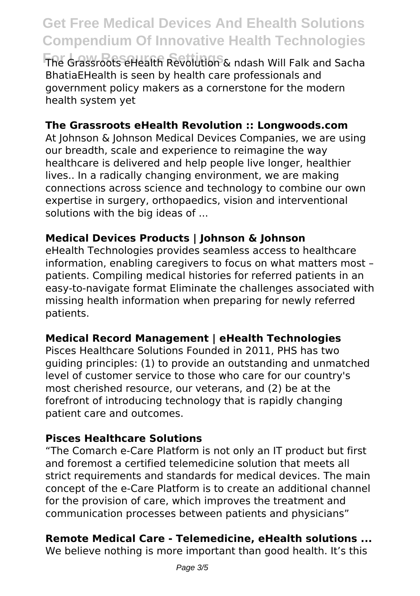**For Low Resource Settings** The Grassroots eHealth Revolution & ndash Will Falk and Sacha BhatiaEHealth is seen by health care professionals and government policy makers as a cornerstone for the modern health system yet

#### **The Grassroots eHealth Revolution :: Longwoods.com**

At Johnson & Johnson Medical Devices Companies, we are using our breadth, scale and experience to reimagine the way healthcare is delivered and help people live longer, healthier lives.. In a radically changing environment, we are making connections across science and technology to combine our own expertise in surgery, orthopaedics, vision and interventional solutions with the big ideas of ...

#### **Medical Devices Products | Johnson & Johnson**

eHealth Technologies provides seamless access to healthcare information, enabling caregivers to focus on what matters most – patients. Compiling medical histories for referred patients in an easy-to-navigate format Eliminate the challenges associated with missing health information when preparing for newly referred patients.

#### **Medical Record Management | eHealth Technologies**

Pisces Healthcare Solutions Founded in 2011, PHS has two guiding principles: (1) to provide an outstanding and unmatched level of customer service to those who care for our country's most cherished resource, our veterans, and (2) be at the forefront of introducing technology that is rapidly changing patient care and outcomes.

#### **Pisces Healthcare Solutions**

"The Comarch e-Care Platform is not only an IT product but first and foremost a certified telemedicine solution that meets all strict requirements and standards for medical devices. The main concept of the e-Care Platform is to create an additional channel for the provision of care, which improves the treatment and communication processes between patients and physicians"

#### **Remote Medical Care - Telemedicine, eHealth solutions ...**

We believe nothing is more important than good health. It's this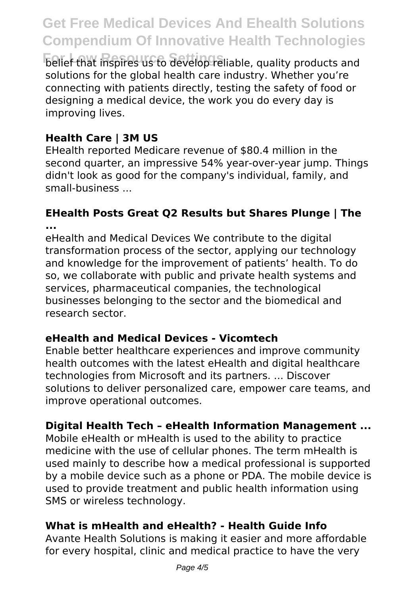**For Low Resource Settings** belief that inspires us to develop reliable, quality products and solutions for the global health care industry. Whether you're connecting with patients directly, testing the safety of food or designing a medical device, the work you do every day is improving lives.

### **Health Care | 3M US**

EHealth reported Medicare revenue of \$80.4 million in the second quarter, an impressive 54% year-over-year jump. Things didn't look as good for the company's individual, family, and small-business ...

#### **EHealth Posts Great Q2 Results but Shares Plunge | The ...**

eHealth and Medical Devices We contribute to the digital transformation process of the sector, applying our technology and knowledge for the improvement of patients' health. To do so, we collaborate with public and private health systems and services, pharmaceutical companies, the technological businesses belonging to the sector and the biomedical and research sector.

#### **eHealth and Medical Devices - Vicomtech**

Enable better healthcare experiences and improve community health outcomes with the latest eHealth and digital healthcare technologies from Microsoft and its partners. ... Discover solutions to deliver personalized care, empower care teams, and improve operational outcomes.

#### **Digital Health Tech – eHealth Information Management ...**

Mobile eHealth or mHealth is used to the ability to practice medicine with the use of cellular phones. The term mHealth is used mainly to describe how a medical professional is supported by a mobile device such as a phone or PDA. The mobile device is used to provide treatment and public health information using SMS or wireless technology.

#### **What is mHealth and eHealth? - Health Guide Info**

Avante Health Solutions is making it easier and more affordable for every hospital, clinic and medical practice to have the very